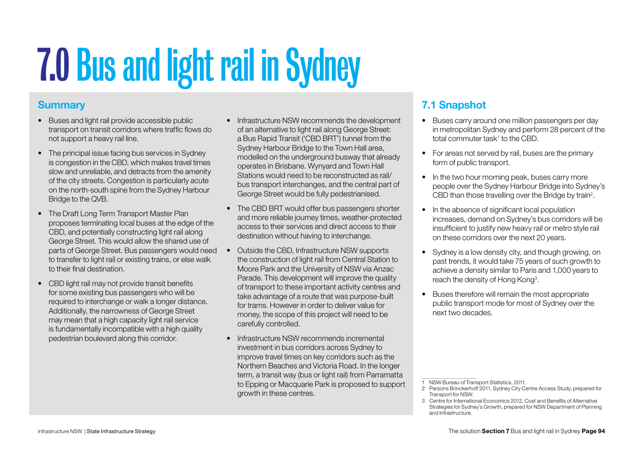# 7.0Bus and light rail in Sydney

# **Summary**

- • Buses and light rail provide accessible public transport on transit corridors where traffic flows do not support a heavy rail line.
- The principal issue facing bus services in Sydney is congestion in the CBD, which makes travel times slow and unreliable, and detracts from the amenity of the city streets. Congestion is particularly acute on the north-south spine from the Sydney Harbour Bridge to the QVB.
- The Draft Long Term Transport Master Plan proposes terminating local buses at the edge of the CBD, and potentially constructing light rail along George Street. This would allow the shared use of parts of George Street. Bus passengers would need to transfer to light rail or existing trains, or else walk to their final destination.
- CBD light rail may not provide transit benefits for some existing bus passengers who will be required to interchange or walk a longer distance. Additionally, the narrowness of George Street may mean that a high capacity light rail service is fundamentally incompatible with a high quality pedestrian boulevard along this corridor.
- Infrastructure NSW recommends the development of an alternative to light rail along George Street: a Bus Rapid Transit ('CBD BRT') tunnel from the Sydney Harbour Bridge to the Town Hall area, modelled on the underground busway that already operates in Brisbane. Wynyard and Town Hall Stations would need to be reconstructed as rail/ bus transport interchanges, and the central part of George Street would be fully pedestrianised.
- The CBD BRT would offer bus passengers shorter and more reliable journey times, weather-protected access to their services and direct access to their destination without having to interchange.
- Outside the CBD, Infrastructure NSW supports the construction of light rail from Central Station to Moore Park and the University of NSW via Anzac Parade. This development will improve the quality of transport to these important activity centres and take advantage of a route that was purpose-built for trams. However in order to deliver value for money, the scope of this project will need to be carefully controlled.
- Infrastructure NSW recommends incremental investment in bus corridors across Sydney to improve travel times on key corridors such as the Northern Beaches and Victoria Road. In the longer term, a transit way (bus or light rail) from Parramatta to Epping or Macquarie Park is proposed to support growth in these centres.

# 7.1 Snapshot

- Buses carry around one million passengers per day in metropolitan Sydney and perform 28 percent of the total commuter task<sup>1</sup> to the CBD.
- For areas not served by rail, buses are the primary form of public transport.
- In the two hour morning peak, buses carry more people over the Sydney Harbour Bridge into Sydney's CBD than those travelling over the Bridge by train<sup>2</sup>.
- In the absence of significant local population increases, demand on Sydney's bus corridors will be insufficient to justify new heavy rail or metro style rail on these corridors over the next 20 years.
- Sydney is a low density city, and though growing, on past trends, it would take 75 years of such growth to achieve a density similar to Paris and 1,000 years to reach the density of Hong Kong<sup>3</sup>.
- • Buses therefore will remain the most appropriate public transport mode for most of Sydney over the next two decades.

<sup>1</sup> NSW Bureau of Transport Statistics, 2011.

<sup>2</sup> Parsons Brinckerhoff 2011, Sydney City Centre Access Study, prepared for Transport for NSW.

<sup>3</sup> Centre for International Economics 2012, Cost and Benefits of Alternative Strategies for Sydney's Growth, prepared for NSW Department of Planning and Infrastructure.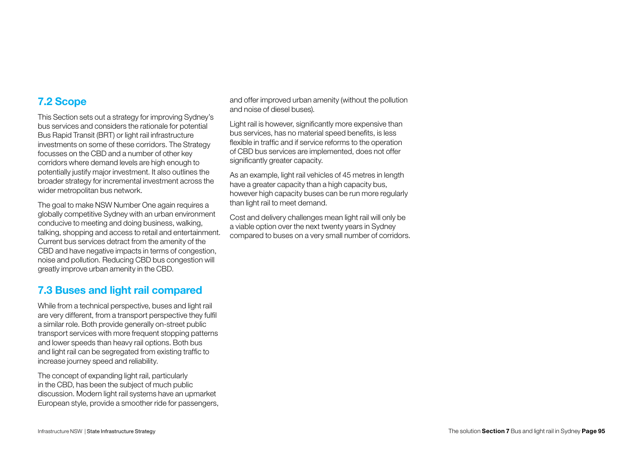# 7.2 Scope

This Section sets out a strategy for improving Sydney's bus services and considers the rationale for potential Bus Rapid Transit (BRT) or light rail infrastructure investments on some of these corridors. The Strategy focusses on the CBD and a number of other key corridors where demand levels are high enough to potentially justify major investment. It also outlines the broader strategy for incremental investment across the wider metropolitan bus network.

The goal to make NSW Number One again requires a globally competitive Sydney with an urban environment conducive to meeting and doing business, walking, talking, shopping and access to retail and entertainment. Current bus services detract from the amenity of the CBD and have negative impacts in terms of congestion, noise and pollution. Reducing CBD bus congestion will greatly improve urban amenity in the CBD.

# 7.3 Buses and light rail compared

While from a technical perspective, buses and light rail are very different, from a transport perspective they fulfil a similar role. Both provide generally on-street public transport services with more frequent stopping patterns and lower speeds than heavy rail options. Both bus and light rail can be segregated from existing traffic to increase journey speed and reliability.

The concept of expanding light rail, particularly in the CBD, has been the subject of much public discussion. Modern light rail systems have an upmarket European style, provide a smoother ride for passengers, and offer improved urban amenity (without the pollution and noise of diesel buses).

Light rail is however, significantly more expensive than bus services, has no material speed benefits, is less flexible in traffic and if service reforms to the operation of CBD bus services are implemented, does not offer significantly greater capacity.

As an example, light rail vehicles of 45 metres in length have a greater capacity than a high capacity bus, however high capacity buses can be run more regularly than light rail to meet demand.

Cost and delivery challenges mean light rail will only be a viable option over the next twenty years in Sydney compared to buses on a very small number of corridors.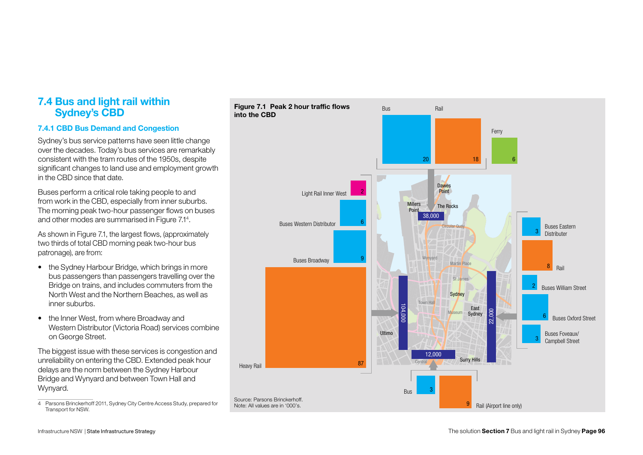## 7.4 Bus and light rail within Sydney's CBD

## 7.4.1 CBD Bus Demand and Congestion

Sydney's bus service patterns have seen little change over the decades. Today's bus services are remarkably consistent with the tram routes of the 1950s, despite significant changes to land use and employment growth in the CBD since that date.

Buses perform a critical role taking people to and from work in the CBD, especially from inner suburbs. The morning peak two-hour passenger flows on buses and other modes are summarised in Figure 7.14 .

As shown in Figure 7.1, the largest flows, (approximately two thirds of total CBD morning peak two-hour bus patronage), are from:

- the Sydney Harbour Bridge, which brings in more bus passengers than passengers travelling over the Bridge on trains, and includes commuters from the North West and the Northern Beaches, as well as inner suburbs.
- the Inner West, from where Broadway and Western Distributor (Victoria Road) services combine on George Street.

The biggest issue with these services is congestion and unreliability on entering the CBD. Extended peak hour delays are the norm between the Sydney Harbour Bridge and Wynyard and between Town Hall and Wynyard.

4 Parsons Brinckerhoff 2011, Sydney City Centre Access Study, prepared for Transport for NSW.

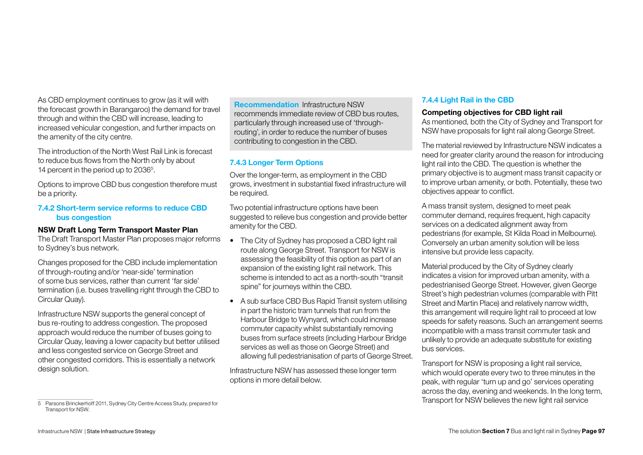As CBD employment continues to grow (as it will with the forecast growth in Barangaroo) the demand for travel through and within the CBD will increase, leading to increased vehicular congestion, and further impacts on the amenity of the city centre.

The introduction of the North West Rail Link is forecast to reduce bus flows from the North only by about 14 percent in the period up to 2036<sup>5</sup>.

Options to improve CBD bus congestion therefore must be a priority.

## 7.4.2 Short-term service reforms to reduce CBD bus congestion

#### NSW Draft Long Term Transport Master Plan

The Draft Transport Master Plan proposes major reforms to Sydney's bus network.

Changes proposed for the CBD include implementation of through-routing and/or 'near-side' termination of some bus services, rather than current 'far side' termination (i.e. buses travelling right through the CBD to Circular Quay).

Infrastructure NSW supports the general concept of bus re-routing to address congestion. The proposed approach would reduce the number of buses going to Circular Quay, leaving a lower capacity but better utilised and less congested service on George Street and other congested corridors. This is essentially a network design solution.

Recommendation Infrastructure NSW recommends immediate review of CBD bus routes, particularly through increased use of 'throughrouting', in order to reduce the number of buses contributing to congestion in the CBD.

## 7.4.3 Longer Term Options

Over the longer-term, as employment in the CBD grows, investment in substantial fixed infrastructure will be required.

Two potential infrastructure options have been suggested to relieve bus congestion and provide better amenity for the CBD.

- The City of Sydney has proposed a CBD light rail route along George Street. Transport for NSW is assessing the feasibility of this option as part of an expansion of the existing light rail network. This scheme is intended to act as a north-south "transit spine" for journeys within the CBD.
- A sub surface CBD Bus Rapid Transit system utilising in part the historic tram tunnels that run from the Harbour Bridge to Wynyard, which could increase commuter capacity whilst substantially removing buses from surface streets (including Harbour Bridge services as well as those on George Street) and allowing full pedestrianisation of parts of George Street.

Infrastructure NSW has assessed these longer term options in more detail below.

## 7.4.4 Light Rail in the CBD

#### Competing objectives for CBD light rail

As mentioned, both the City of Sydney and Transport for NSW have proposals for light rail along George Street.

The material reviewed by Infrastructure NSW indicates a need for greater clarity around the reason for introducing light rail into the CBD. The question is whether the primary objective is to augment mass transit capacity or to improve urban amenity, or both. Potentially, these two objectives appear to conflict.

A mass transit system, designed to meet peak commuter demand, requires frequent, high capacity services on a dedicated alignment away from pedestrians (for example, St Kilda Road in Melbourne). Conversely an urban amenity solution will be less intensive but provide less capacity.

Material produced by the City of Sydney clearly indicates a vision for improved urban amenity, with a pedestrianised George Street. However, given George Street's high pedestrian volumes (comparable with Pitt Street and Martin Place) and relatively narrow width, this arrangement will require light rail to proceed at low speeds for safety reasons. Such an arrangement seems incompatible with a mass transit commuter task and unlikely to provide an adequate substitute for existing bus services.

Transport for NSW is proposing a light rail service, which would operate every two to three minutes in the peak, with regular 'turn up and go' services operating across the day, evening and weekends. In the long term, Transport for NSW believes the new light rail service

<sup>5</sup> Parsons Brinckerhoff 2011, Sydney City Centre Access Study, prepared for Transport for NSW.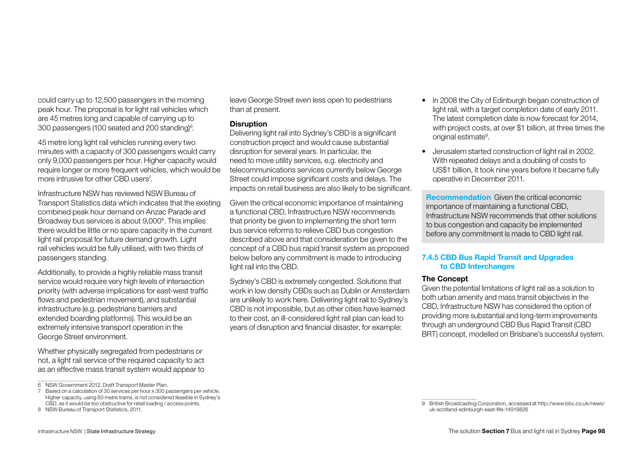could carry up to 12,500 passengers in the morning peak hour. The proposal is for light rail vehicles which are 45 metres long and capable of carrying up to 300 passengers (100 seated and 200 standing) $^{\rm 6}$ .

45 metre long light rail vehicles running every two minutes with a capacity of 300 passengers would carry only 9,000 passengers per hour. Higher capacity would require longer or more frequent vehicles, which would be more intrusive for other CBD users7 .

Infrastructure NSW has reviewed NSW Bureau of Transport Statistics data which indicates that the existing combined peak hour demand on Anzac Parade and Broadway bus services is about 9,000<sup>8</sup>. This implies there would be little or no spare capacity in the current light rail proposal for future demand growth. Light rail vehicles would be fully utilised, with two thirds of passengers standing.

Additionally, to provide a highly reliable mass transit service would require very high levels of intersection priority (with adverse implications for east-west traffic flows and pedestrian movement), and substantial infrastructure (e.g. pedestrians barriers and extended boarding platforms). This would be an extremely intensive transport operation in the George Street environment.

Whether physically segregated from pedestrians or not, a light rail service of the required capacity to act as an effective mass transit system would appear to leave George Street even less open to pedestrians than at present.

#### **Disruption**

Delivering light rail into Sydney's CBD is a significant construction project and would cause substantial disruption for several years. In particular, the need to move utility services, e.g. electricity and telecommunications services currently below George Street could impose significant costs and delays. The impacts on retail business are also likely to be significant.

Given the critical economic importance of maintaining a functional CBD, Infrastructure NSW recommends that priority be given to implementing the short term bus service reforms to relieve CBD bus congestion described above and that consideration be given to the concept of a CBD bus rapid transit system as proposed below before any commitment is made to introducing light rail into the CBD.

Sydney's CBD is extremely congested. Solutions that work in low density CBDs such as Dublin or Amsterdam are unlikely to work here. Delivering light rail to Sydney's CBD is not impossible, but as other cities have learned to their cost, an ill-considered light rail plan can lead to years of disruption and financial disaster, for example:

- In 2008 the City of Edinburgh began construction of light rail, with a target completion date of early 2011. The latest completion date is now forecast for 2014, with project costs, at over \$1 billion, at three times the original estimate<sup>9</sup>.
- Jerusalem started construction of light rail in 2002. With repeated delays and a doubling of costs to US\$1 billion, it took nine years before it became fully operative in December 2011.

Recommendation Given the critical economic importance of maintaining a functional CBD, Infrastructure NSW recommends that other solutions to bus congestion and capacity be implemented before any commitment is made to CBD light rail.

## 7.4.5 CBD Bus Rapid Transit and Upgrades to CBD Interchanges

#### The Concept

Given the potential limitations of light rail as a solution to both urban amenity and mass transit objectives in the CBD, Infrastructure NSW has considered the option of providing more substantial and long-term improvements through an underground CBD Bus Rapid Transit (CBD BRT) concept, modelled on Brisbane's successful system.

<sup>6</sup> NSW Government 2012, Draft Transport Master Plan.

<sup>7</sup> Based on a calculation of 30 services per hour x 300 passengers per vehicle. Higher capacity, using 60 metre trams, is not considered feasible in Sydney's CBD, as it would be too obstructive for retail loading / access points.

<sup>8</sup> NSW Bureau of Transport Statistics, 2011.

<sup>9</sup> British Broadcasting Corporation, accessed at [http://www.bbc.co.uk/news/](http://www.bbc.co.uk/news/uk-scotland-edinburgh-east-fife-14919826) [uk-scotland-edinburgh-east-fife-14919826](http://www.bbc.co.uk/news/uk-scotland-edinburgh-east-fife-14919826)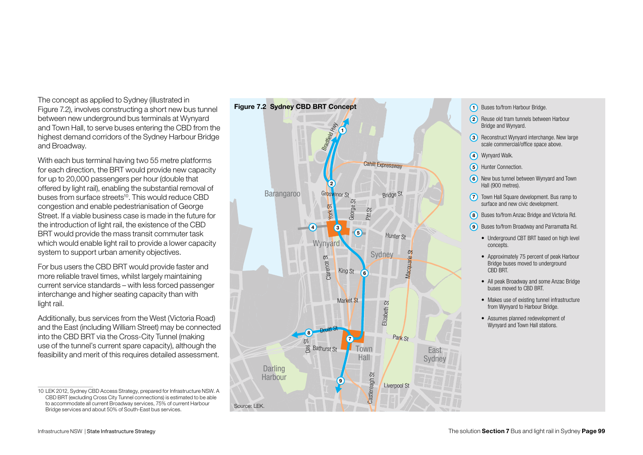The concept as applied to Sydney (illustrated in Figure 7.2), involves constructing a short new bus tunnel between new underground bus terminals at Wynyard and Town Hall, to serve buses entering the CBD from the highest demand corridors of the Sydney Harbour Bridge and Broadway.

With each bus terminal having two 55 metre platforms for each direction, the BRT would provide new capacity for up to 20,000 passengers per hour (double that offered by light rail), enabling the substantial removal of buses from surface streets<sup>10</sup>. This would reduce CBD congestion and enable pedestrianisation of George Street. If a viable business case is made in the future for the introduction of light rail, the existence of the CBD BRT would provide the mass transit commuter task which would enable light rail to provide a lower capacity system to support urban amenity objectives.

For bus users the CBD BRT would provide faster and more reliable travel times, whilst largely maintaining current service standards – with less forced passenger interchange and higher seating capacity than with light rail.

Additionally, bus services from the West (Victoria Road) and the East (including William Street) may be connected into the CBD BRT via the Cross-City Tunnel (making use of the tunnel's current spare capacity), although the feasibility and merit of this requires detailed assessment.

<sup>10</sup> LEK 2012, Sydney CBD Access Strategy, prepared for Infrastructure NSW. A CBD BRT (excluding Cross City Tunnel connections) is estimated to be able to accommodate all current Broadway services, 75% of current Harbour Bridge services and about 50% of South-East bus services.



- 1) Buses to/from Harbour Bridge.
- 2) Reuse old tram tunnels between Harbour Bridge and Wynyard.
- **3** Reconstruct Wynyard interchange. New large scale commercial/office space above.
- 4) Wynyard Walk.
- 5) Hunter Connection.
- 6) New bus tunnel between Wynyard and Town Hall (900 metres).
- **7** Town Hall Square development. Bus ramp to surface and new civic development.
- 8) Buses to/from Anzac Bridge and Victoria Rd.
- **9** Buses to/from Broadway and Parramatta Rd.
	- Underground CBT BRT based on high level concepts.
	- Approximately 75 percent of peak Harbour Bridge buses moved to underground CBD BRT.
	- All peak Broadway and some Anzac Bridge buses moved to CBD BRT.
	- Makes use of existing tunnel infrastructure from Wynyard to Harbour Bridge.
	- Assumes planned redevelopment of Wynyard and Town Hall stations.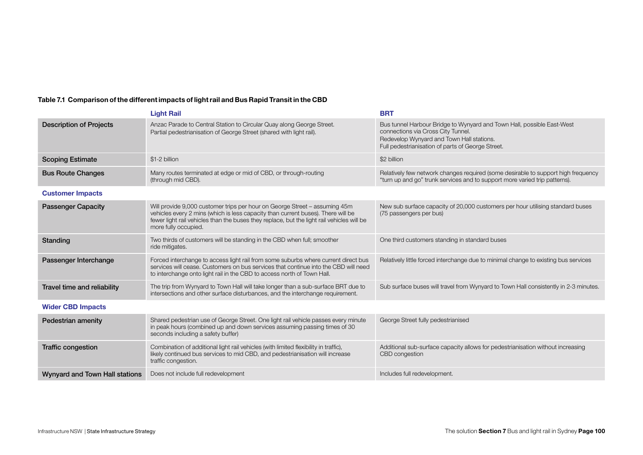## Table 7.1 Comparison of the different impacts of light rail and Bus Rapid Transit in the CBD

|                                | <b>Light Rail</b>                                                                                                                                                                                                                                                                    | <b>BRT</b>                                                                                                                                                                                                     |  |  |  |  |
|--------------------------------|--------------------------------------------------------------------------------------------------------------------------------------------------------------------------------------------------------------------------------------------------------------------------------------|----------------------------------------------------------------------------------------------------------------------------------------------------------------------------------------------------------------|--|--|--|--|
| <b>Description of Projects</b> | Anzac Parade to Central Station to Circular Quay along George Street.<br>Partial pedestrianisation of George Street (shared with light rail).                                                                                                                                        | Bus tunnel Harbour Bridge to Wynyard and Town Hall, possible East-West<br>connections via Cross City Tunnel.<br>Redevelop Wynyard and Town Hall stations.<br>Full pedestrianisation of parts of George Street. |  |  |  |  |
| <b>Scoping Estimate</b>        | \$1-2 billion                                                                                                                                                                                                                                                                        | \$2 billion                                                                                                                                                                                                    |  |  |  |  |
| <b>Bus Route Changes</b>       | Many routes terminated at edge or mid of CBD, or through-routing<br>(through mid CBD).                                                                                                                                                                                               | Relatively few network changes required (some desirable to support high frequency<br>"turn up and go" trunk services and to support more varied trip patterns).                                                |  |  |  |  |
| <b>Customer Impacts</b>        |                                                                                                                                                                                                                                                                                      |                                                                                                                                                                                                                |  |  |  |  |
| <b>Passenger Capacity</b>      | Will provide 9,000 customer trips per hour on George Street - assuming 45m<br>vehicles every 2 mins (which is less capacity than current buses). There will be<br>fewer light rail vehicles than the buses they replace, but the light rail vehicles will be<br>more fully occupied. | New sub surface capacity of 20,000 customers per hour utilising standard buses<br>(75 passengers per bus)                                                                                                      |  |  |  |  |
| Standing                       | Two thirds of customers will be standing in the CBD when full; smoother<br>ride mitigates.                                                                                                                                                                                           | One third customers standing in standard buses                                                                                                                                                                 |  |  |  |  |
| Passenger Interchange          | Forced interchange to access light rail from some suburbs where current direct bus<br>services will cease. Customers on bus services that continue into the CBD will need<br>to interchange onto light rail in the CBD to access north of Town Hall.                                 | Relatively little forced interchange due to minimal change to existing bus services                                                                                                                            |  |  |  |  |
| Travel time and reliability    | The trip from Wynyard to Town Hall will take longer than a sub-surface BRT due to<br>intersections and other surface disturbances, and the interchange requirement.                                                                                                                  | Sub surface buses will travel from Wynyard to Town Hall consistently in 2-3 minutes.                                                                                                                           |  |  |  |  |
| <b>Wider CBD Impacts</b>       |                                                                                                                                                                                                                                                                                      |                                                                                                                                                                                                                |  |  |  |  |
| Pedestrian amenity             | Shared pedestrian use of George Street. One light rail vehicle passes every minute<br>in peak hours (combined up and down services assuming passing times of 30<br>seconds including a safety buffer)                                                                                | George Street fully pedestrianised                                                                                                                                                                             |  |  |  |  |
| Traffic congestion             | Combination of additional light rail vehicles (with limited flexibility in traffic),<br>likely continued bus services to mid CBD, and pedestrianisation will increase<br>traffic congestion.                                                                                         | Additional sub-surface capacity allows for pedestrianisation without increasing<br>CBD congestion                                                                                                              |  |  |  |  |
| Wynyard and Town Hall stations | Does not include full redevelopment                                                                                                                                                                                                                                                  | Includes full redevelopment.                                                                                                                                                                                   |  |  |  |  |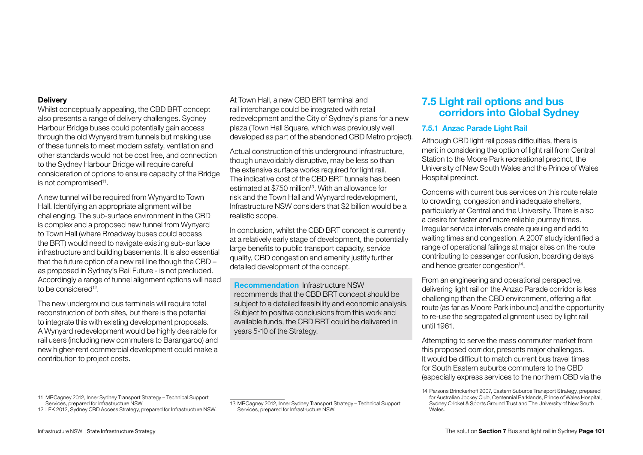#### **Delivery**

Whilst conceptually appealing, the CBD BRT concept also presents a range of delivery challenges. Sydney Harbour Bridge buses could potentially gain access through the old Wynyard tram tunnels but making use of these tunnels to meet modern safety, ventilation and other standards would not be cost free, and connection to the Sydney Harbour Bridge will require careful consideration of options to ensure capacity of the Bridge is not compromised<sup>11</sup>.

A new tunnel will be required from Wynyard to Town Hall. Identifying an appropriate alignment will be challenging. The sub-surface environment in the CBD is complex and a proposed new tunnel from Wynyard to Town Hall (where Broadway buses could access the BRT) would need to navigate existing sub-surface infrastructure and building basements. It is also essential that the future option of a new rail line though the CBD – as proposed in Sydney's Rail Future - is not precluded. Accordingly a range of tunnel alignment options will need to be considered<sup>12</sup>

The new underground bus terminals will require total reconstruction of both sites, but there is the potential to integrate this with existing development proposals. A Wynyard redevelopment would be highly desirable for rail users (including new commuters to Barangaroo) and new higher-rent commercial development could make a contribution to project costs.

At Town Hall, a new CBD BRT terminal and rail interchange could be integrated with retail redevelopment and the City of Sydney's plans for a new plaza (Town Hall Square, which was previously well developed as part of the abandoned CBD Metro project).

Actual construction of this underground infrastructure, though unavoidably disruptive, may be less so than the extensive surface works required for light rail. The indicative cost of the CBD BRT tunnels has been estimated at \$750 million<sup>13</sup>. With an allowance for risk and the Town Hall and Wynyard redevelopment, Infrastructure NSW considers that \$2 billion would be a realistic scope.

In conclusion, whilst the CBD BRT concept is currently at a relatively early stage of development, the potentially large benefits to public transport capacity, service quality, CBD congestion and amenity justify further detailed development of the concept.

Recommendation Infrastructure NSW recommends that the CBD BRT concept should be subject to a detailed feasibility and economic analysis. Subject to positive conclusions from this work and available funds, the CBD BRT could be delivered in years 5-10 of the Strategy.

## 7.5 Light rail options and bus corridors into Global Sydney

## 7.5.1 Anzac Parade Light Rail

Although CBD light rail poses difficulties, there is merit in considering the option of light rail from Central Station to the Moore Park recreational precinct, the University of New South Wales and the Prince of Wales Hospital precinct.

Concerns with current bus services on this route relate to crowding, congestion and inadequate shelters, particularly at Central and the University. There is also a desire for faster and more reliable journey times. Irregular service intervals create queuing and add to waiting times and congestion. A 2007 study identified a range of operational failings at major sites on the route contributing to passenger confusion, boarding delays and hence greater congestion<sup>14</sup>.

From an engineering and operational perspective, delivering light rail on the Anzac Parade corridor is less challenging than the CBD environment, offering a flat route (as far as Moore Park inbound) and the opportunity to re-use the segregated alignment used by light rail until 1961.

Attempting to serve the mass commuter market from this proposed corridor, presents major challenges. It would be difficult to match current bus travel times for South Eastern suburbs commuters to the CBD (especially express services to the northern CBD via the

<sup>14</sup> Parsons Brinckerhoff 2007, Eastern Suburbs Transport Strategy, prepared for Australian Jockey Club, Centennial Parklands, Prince of Wales Hospital, Sydney Cricket & Sports Ground Trust and The University of New South Wales.

<sup>11</sup> MRCagney 2012, Inner Sydney Transport Strategy – Technical Support Services, prepared for Infrastructure NSW.

<sup>12</sup> LEK 2012, Sydney CBD Access Strategy, prepared for Infrastructure NSW.

<sup>13</sup> MRCagney 2012, Inner Sydney Transport Strategy – Technical Support Services, prepared for Infrastructure NSW.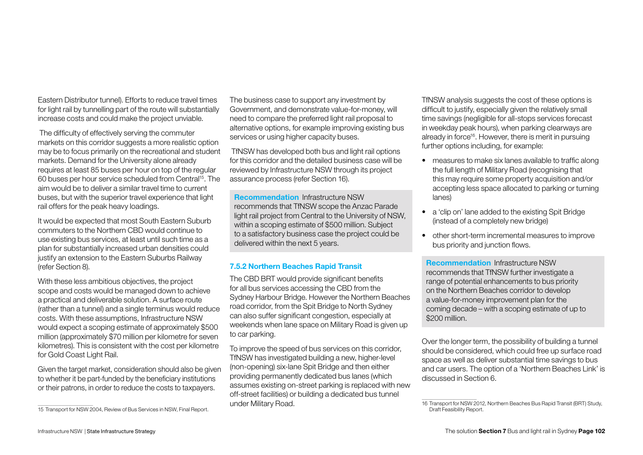Eastern Distributor tunnel). Efforts to reduce travel times for light rail by tunnelling part of the route will substantially increase costs and could make the project unviable.

 The difficulty of effectively serving the commuter markets on this corridor suggests a more realistic option may be to focus primarily on the recreational and student markets. Demand for the University alone already requires at least 85 buses per hour on top of the regular 60 buses per hour service scheduled from Central15. The aim would be to deliver a similar travel time to current buses, but with the superior travel experience that light rail offers for the peak heavy loadings.

It would be expected that most South Eastern Suburb commuters to the Northern CBD would continue to use existing bus services, at least until such time as a plan for substantially increased urban densities could justify an extension to the Eastern Suburbs Railway (refer Section 8).

With these less ambitious objectives, the project scope and costs would be managed down to achieve a practical and deliverable solution. A surface route (rather than a tunnel) and a single terminus would reduce costs. With these assumptions, Infrastructure NSW would expect a scoping estimate of approximately \$500 million (approximately \$70 million per kilometre for seven kilometres). This is consistent with the cost per kilometre for Gold Coast Light Rail.

Given the target market, consideration should also be given to whether it be part-funded by the beneficiary institutions or their patrons, in order to reduce the costs to taxpayers.

The business case to support any investment by Government, and demonstrate value-for-money, will need to compare the preferred light rail proposal to alternative options, for example improving existing bus services or using higher capacity buses.

 TfNSW has developed both bus and light rail options for this corridor and the detailed business case will be reviewed by Infrastructure NSW through its project assurance process (refer Section 16).

Recommendation Infrastructure NSW recommends that TfNSW scope the Anzac Parade light rail project from Central to the University of NSW, within a scoping estimate of \$500 million. Subject to a satisfactory business case the project could be delivered within the next 5 years.

## 7.5.2 Northern Beaches Rapid Transit

The CBD BRT would provide significant benefits for all bus services accessing the CBD from the Sydney Harbour Bridge. However the Northern Beaches road corridor, from the Spit Bridge to North Sydney can also suffer significant congestion, especially at weekends when lane space on Military Road is given up to car parking.

To improve the speed of bus services on this corridor, TfNSW has investigated building a new, higher-level (non-opening) six-lane Spit Bridge and then either providing permanently dedicated bus lanes (which assumes existing on-street parking is replaced with new off-street facilities) or building a dedicated bus tunnel under Military Road.

TfNSW analysis suggests the cost of these options is difficult to justify, especially given the relatively small time savings (negligible for all-stops services forecast in weekday peak hours), when parking clearways are already in force<sup>16</sup>. However, there is merit in pursuing further options including, for example:

- measures to make six lanes available to traffic along the full length of Military Road (recognising that this may require some property acquisition and/or accepting less space allocated to parking or turning lanes)
- a 'clip on' lane added to the existing Spit Bridge (instead of a completely new bridge)
- • other short-term incremental measures to improve bus priority and junction flows.

Recommendation Infrastructure NSW recommends that TfNSW further investigate a range of potential enhancements to bus priority on the Northern Beaches corridor to develop a value-for-money improvement plan for the coming decade – with a scoping estimate of up to \$200 million.

Over the longer term, the possibility of building a tunnel should be considered, which could free up surface road space as well as deliver substantial time savings to bus and car users. The option of a 'Northern Beaches Link' is discussed in Section 6.

<sup>15</sup> Transport for NSW 2004, Review of Bus Services in NSW, Final Report.

<sup>16</sup> Transport for NSW 2012, Northern Beaches Bus Rapid Transit (BRT) Study, Draft Feasibility Report.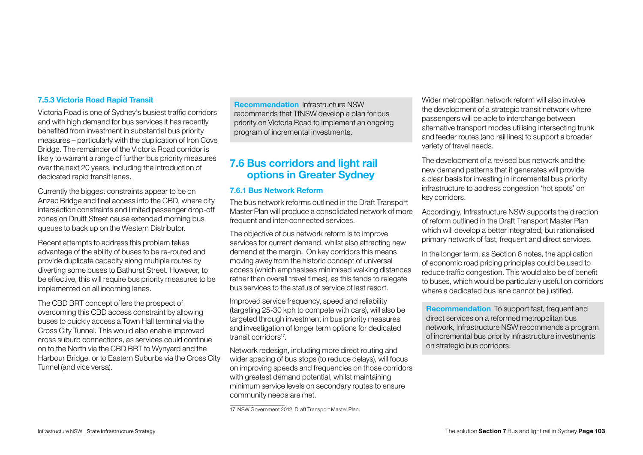#### 7.5.3 Victoria Road Rapid Transit

Victoria Road is one of Sydney's busiest traffic corridors and with high demand for bus services it has recently benefited from investment in substantial bus priority measures – particularly with the duplication of Iron Cove Bridge. The remainder of the Victoria Road corridor is likely to warrant a range of further bus priority measures over the next 20 years, including the introduction of dedicated rapid transit lanes.

Currently the biggest constraints appear to be on Anzac Bridge and final access into the CBD, where city intersection constraints and limited passenger drop-off zones on Druitt Street cause extended morning bus queues to back up on the Western Distributor.

Recent attempts to address this problem takes advantage of the ability of buses to be re-routed and provide duplicate capacity along multiple routes by diverting some buses to Bathurst Street. However, to be effective, this will require bus priority measures to be implemented on all incoming lanes.

The CBD BRT concept offers the prospect of overcoming this CBD access constraint by allowing buses to quickly access a Town Hall terminal via the Cross City Tunnel. This would also enable improved cross suburb connections, as services could continue on to the North via the CBD BRT to Wynyard and the Harbour Bridge, or to Eastern Suburbs via the Cross City Tunnel (and vice versa).

Recommendation Infrastructure NSW recommends that TfNSW develop a plan for bus priority on Victoria Road to implement an ongoing program of incremental investments.

# 7.6 Bus corridors and light rail options in Greater Sydney

#### 7.6.1 Bus Network Reform

The bus network reforms outlined in the Draft Transport Master Plan will produce a consolidated network of more frequent and inter-connected services.

The objective of bus network reform is to improve services for current demand, whilst also attracting new demand at the margin. On key corridors this means moving away from the historic concept of universal access (which emphasises minimised walking distances rather than overall travel times), as this tends to relegate bus services to the status of service of last resort.

Improved service frequency, speed and reliability (targeting 25-30 kph to compete with cars), will also be targeted through investment in bus priority measures and investigation of longer term options for dedicated transit corridors<sup>17</sup>

Network redesign, including more direct routing and wider spacing of bus stops (to reduce delays), will focus on improving speeds and frequencies on those corridors with greatest demand potential, whilst maintaining minimum service levels on secondary routes to ensure community needs are met.

Wider metropolitan network reform will also involve the development of a strategic transit network where passengers will be able to interchange between alternative transport modes utilising intersecting trunk and feeder routes (and rail lines) to support a broader variety of travel needs.

The development of a revised bus network and the new demand patterns that it generates will provide a clear basis for investing in incremental bus priority infrastructure to address congestion 'hot spots' on key corridors.

Accordingly, Infrastructure NSW supports the direction of reform outlined in the Draft Transport Master Plan which will develop a better integrated, but rationalised primary network of fast, frequent and direct services.

In the longer term, as Section 6 notes, the application of economic road pricing principles could be used to reduce traffic congestion. This would also be of benefit to buses, which would be particularly useful on corridors where a dedicated bus lane cannot be justified.

Recommendation To support fast, frequent and direct services on a reformed metropolitan bus network, Infrastructure NSW recommends a program of incremental bus priority infrastructure investments on strategic bus corridors.

<sup>17</sup> NSW Government 2012, Draft Transport Master Plan.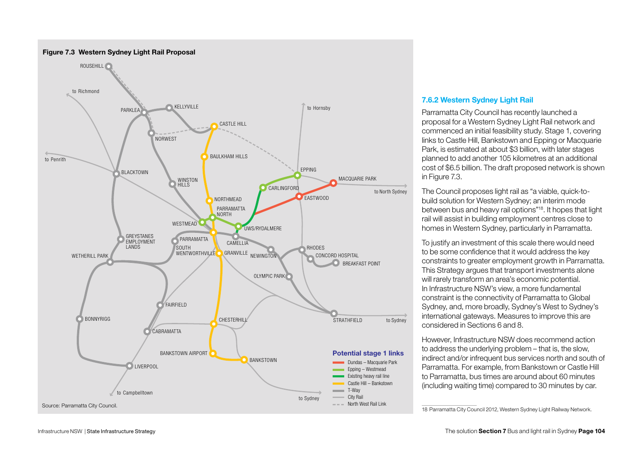

#### 7.6.2 Western Sydney Light Rail

Parramatta City Council has recently launched a proposal for a Western Sydney Light Rail network and commenced an initial feasibility study. Stage 1, covering links to Castle Hill, Bankstown and Epping or Macquarie Park, is estimated at about \$3 billion, with later stages planned to add another 105 kilometres at an additional cost of \$6.5 billion. The draft proposed network is shown in Figure 7.3.

The Council proposes light rail as "a viable, quick-tobuild solution for Western Sydney; an interim mode between bus and heavy rail options"18. It hopes that light rail will assist in building employment centres close to homes in Western Sydney, particularly in Parramatta.

To justify an investment of this scale there would need to be some confidence that it would address the key constraints to greater employment growth in Parramatta. This Strategy argues that transport investments alone will rarely transform an area's economic potential. In Infrastructure NSW's view, a more fundamental constraint is the connectivity of Parramatta to Global Sydney, and, more broadly, Sydney's West to Sydney's international gateways. Measures to improve this are considered in Sections 6 and 8.

However, Infrastructure NSW does recommend action to address the underlying problem – that is, the slow, indirect and/or infrequent bus services north and south of Parramatta. For example, from Bankstown or Castle Hill to Parramatta, bus times are around about 60 minutes (including waiting time) compared to 30 minutes by car.

<sup>18</sup> Parramatta City Council 2012, Western Sydney Light Railway Network.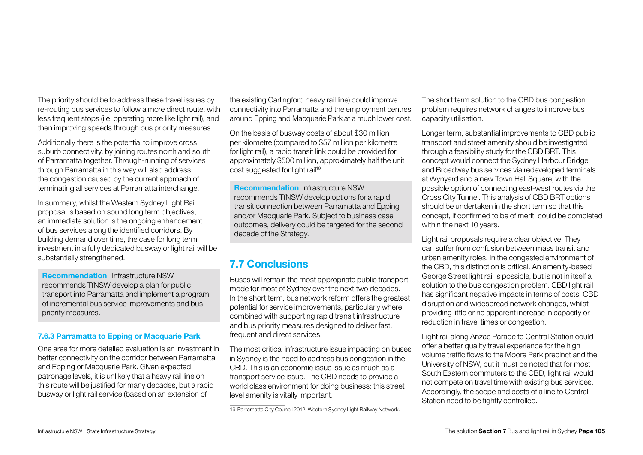The priority should be to address these travel issues by re-routing bus services to follow a more direct route, with less frequent stops (i.e. operating more like light rail), and then improving speeds through bus priority measures.

Additionally there is the potential to improve cross suburb connectivity, by joining routes north and south of Parramatta together. Through-running of services through Parramatta in this way will also address the congestion caused by the current approach of terminating all services at Parramatta interchange.

In summary, whilst the Western Sydney Light Rail proposal is based on sound long term objectives, an immediate solution is the ongoing enhancement of bus services along the identified corridors. By building demand over time, the case for long term investment in a fully dedicated busway or light rail will be substantially strengthened.

Recommendation Infrastructure NSW recommends TfNSW develop a plan for public transport into Parramatta and implement a program of incremental bus service improvements and bus priority measures.

#### 7.6.3 Parramatta to Epping or Macquarie Park

One area for more detailed evaluation is an investment in better connectivity on the corridor between Parramatta and Epping or Macquarie Park. Given expected patronage levels, it is unlikely that a heavy rail line on this route will be justified for many decades, but a rapid busway or light rail service (based on an extension of

the existing Carlingford heavy rail line) could improve connectivity into Parramatta and the employment centres around Epping and Macquarie Park at a much lower cost.

On the basis of busway costs of about \$30 million per kilometre (compared to \$57 million per kilometre for light rail), a rapid transit link could be provided for approximately \$500 million, approximately half the unit cost suggested for light rail<sup>19</sup>.

Recommendation Infrastructure NSW recommends TfNSW develop options for a rapid transit connection between Parramatta and Epping and/or Macquarie Park. Subject to business case outcomes, delivery could be targeted for the second decade of the Strategy.

# 7.7 Conclusions

Buses will remain the most appropriate public transport mode for most of Sydney over the next two decades. In the short term, bus network reform offers the greatest potential for service improvements, particularly where combined with supporting rapid transit infrastructure and bus priority measures designed to deliver fast, frequent and direct services.

The most critical infrastructure issue impacting on buses in Sydney is the need to address bus congestion in the CBD. This is an economic issue issue as much as a transport service issue. The CBD needs to provide a world class environment for doing business; this street level amenity is vitally important.

The short term solution to the CBD bus congestion problem requires network changes to improve bus capacity utilisation.

Longer term, substantial improvements to CBD public transport and street amenity should be investigated through a feasibility study for the CBD BRT. This concept would connect the Sydney Harbour Bridge and Broadway bus services via redeveloped terminals at Wynyard and a new Town Hall Square, with the possible option of connecting east-west routes via the Cross City Tunnel. This analysis of CBD BRT options should be undertaken in the short term so that this concept, if confirmed to be of merit, could be completed within the next 10 years.

Light rail proposals require a clear objective. They can suffer from confusion between mass transit and urban amenity roles. In the congested environment of the CBD, this distinction is critical. An amenity-based George Street light rail is possible, but is not in itself a solution to the bus congestion problem. CBD light rail has significant negative impacts in terms of costs, CBD disruption and widespread network changes, whilst providing little or no apparent increase in capacity or reduction in travel times or congestion.

Light rail along Anzac Parade to Central Station could offer a better quality travel experience for the high volume traffic flows to the Moore Park precinct and the University of NSW, but it must be noted that for most South Eastern commuters to the CBD, light rail would not compete on travel time with existing bus services. Accordingly, the scope and costs of a line to Central Station need to be tightly controlled.

<sup>19</sup> Parramatta City Council 2012, Western Sydney Light Railway Network.